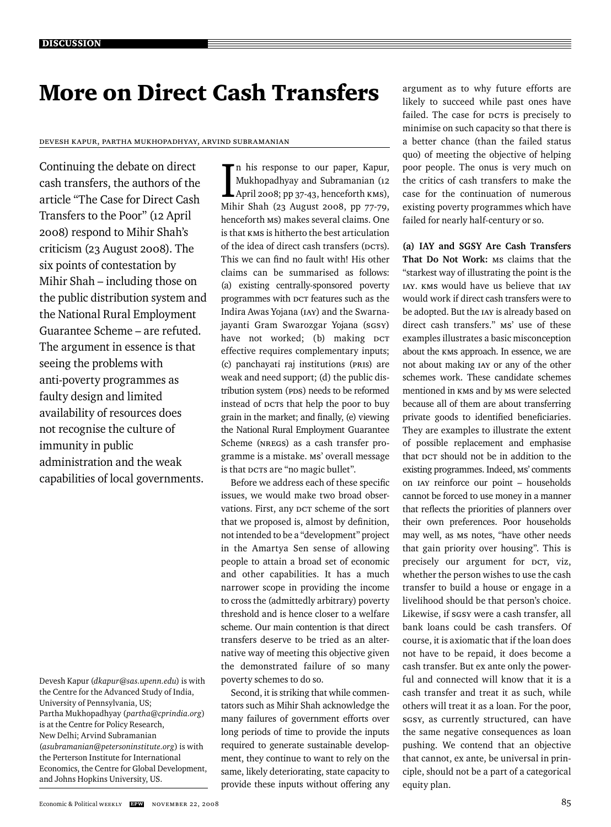## More on Direct Cash Transfers

### Devesh Kapur, Partha Mukhopadhyay, Arvind Subramanian

Continuing the debate on direct cash transfers, the authors of the article "The Case for Direct Cash Transfers to the Poor" (12 April 2008) respond to Mihir Shah's criticism (23 August 2008). The six points of contestation by Mihir Shah – including those on the public distribution system and the National Rural Employment Guarantee Scheme – are refuted. The argument in essence is that seeing the problems with anti-poverty programmes as faulty design and limited availability of resources does not recognise the culture of immunity in public administration and the weak capabilities of local governments.

Devesh Kapur (*dkapur@sas.upenn.edu*) is with the Centre for the Advanced Study of India, University of Pennsylvania, US; Partha Mukhopadhyay (*partha@cprindia.org*) is at the Centre for Policy Research, New Delhi; Arvind Subramanian (*asubramanian@petersoninstitute.org*) is with the Perterson Institute for International Economics, the Centre for Global Development, and Johns Hopkins University, US.

In his response to our paper, Kapur,<br>Mukhopadhyay and Subramanian (12<br>April 2008; pp 37-43, henceforth KMS), n his response to our paper, Kapur, Mukhopadhyay and Subramanian (12 Mihir Shah (23 August 2008, pp 77-79, henceforth MS) makes several claims. One is that KMS is hitherto the best articulation of the idea of direct cash transfers (DCTs). This we can find no fault with! His other claims can be summarised as follows: (a) existing centrally-sponsored poverty programmes with DCT features such as the Indira Awas Yojana (IAY) and the Swarnajayanti Gram Swarozgar Yojana (sgsy) have not worked; (b) making DCT effective requires complementary inputs; (c) panchayati raj institutions (PRIs) are weak and need support; (d) the public distribution system (PDS) needs to be reformed instead of DCTs that help the poor to buy grain in the market; and finally, (e) viewing the National Rural Employment Guarantee Scheme (NREGS) as a cash transfer programme is a mistake. MS' overall message is that DCTs are "no magic bullet".

Before we address each of these specific issues, we would make two broad observations. First, any DCT scheme of the sort that we proposed is, almost by definition, not intended to be a "development" project in the Amartya Sen sense of allowing people to attain a broad set of economic and other capabilities. It has a much narrower scope in providing the income to cross the (admittedly arbitrary) poverty threshold and is hence closer to a welfare scheme. Our main contention is that direct transfers deserve to be tried as an alternative way of meeting this objective given the demonstrated failure of so many poverty schemes to do so.

Second, it is striking that while commentators such as Mihir Shah acknowledge the many failures of government efforts over long periods of time to provide the inputs required to generate sustainable development, they continue to want to rely on the same, likely deteriorating, state capacity to provide these inputs without offering any

argument as to why future efforts are likely to succeed while past ones have failed. The case for **DCTS** is precisely to minimise on such capacity so that there is a better chance (than the failed status quo) of meeting the objective of helping poor people. The onus is very much on the critics of cash transfers to make the case for the continuation of numerous existing poverty programmes which have failed for nearly half-century or so.

**(a) IAY and SGSY Are Cash Transfers That Do Not Work:** Ms claims that the "starkest way of illustrating the point is the IAY. KMS would have us believe that IAY would work if direct cash transfers were to be adopted. But the IAY is already based on direct cash transfers." MS' use of these examples illustrates a basic misconception about the KMS approach. In essence, we are not about making IAY or any of the other schemes work. These candidate schemes mentioned in KMS and by MS were selected because all of them are about transferring private goods to identified beneficiaries. They are examples to illustrate the extent of possible replacement and emphasise that DCT should not be in addition to the existing programmes. Indeed, MS' comments on IAY reinforce our point – households cannot be forced to use money in a manner that reflects the priorities of planners over their own preferences. Poor households may well, as Ms notes, "have other needs that gain priority over housing". This is precisely our argument for DCT, viz, whether the person wishes to use the cash transfer to build a house or engage in a livelihood should be that person's choice. Likewise, if sgsy were a cash transfer, all bank loans could be cash transfers. Of course, it is axiomatic that if the loan does not have to be repaid, it does become a cash transfer. But ex ante only the powerful and connected will know that it is a cash transfer and treat it as such, while others will treat it as a loan. For the poor, SGSY, as currently structured, can have the same negative consequences as loan pushing. We contend that an objective that cannot, ex ante, be universal in principle, should not be a part of a categorical equity plan.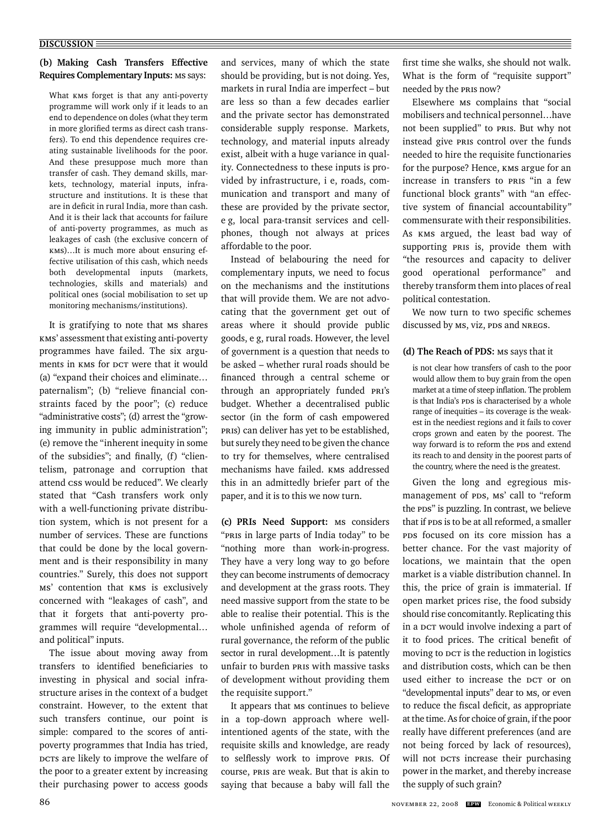## **(b) Making Cash Transfers Effective Requires Complementary Inputs: MS says:**

What KMS forget is that any anti-poverty programme will work only if it leads to an end to dependence on doles (what they term in more glorified terms as direct cash transfers). To end this dependence requires creating sustainable livelihoods for the poor. And these presuppose much more than transfer of cash. They demand skills, markets, technology, material inputs, infrastructure and institutions. It is these that are in deficit in rural India, more than cash. And it is their lack that accounts for failure of anti-poverty programmes, as much as leakages of cash (the exclusive concern of KMS)…It is much more about ensuring effective utilisation of this cash, which needs both developmental inputs (markets, technologies, skills and materials) and political ones (social mobilisation to set up monitoring mechanisms/institutions).

It is gratifying to note that MS shares KMS' assessment that existing anti-poverty programmes have failed. The six arguments in KMS for DCT were that it would (a) "expand their choices and eliminate… paternalism"; (b) "relieve financial constraints faced by the poor"; (c) reduce "administrative costs"; (d) arrest the "growing immunity in public administration"; (e) remove the "inherent inequity in some of the subsidies"; and finally, (f) "clientelism, patronage and corruption that attend css would be reduced". We clearly stated that "Cash transfers work only with a well-functioning private distribution system, which is not present for a number of services. These are functions that could be done by the local government and is their responsibility in many countries." Surely, this does not support MS' contention that KMS is exclusively concerned with "leakages of cash", and that it forgets that anti-poverty programmes will require "developmental… and political" inputs.

The issue about moving away from transfers to identified beneficiaries to investing in physical and social infrastructure arises in the context of a budget constraint. However, to the extent that such transfers continue, our point is simple: compared to the scores of antipoverty programmes that India has tried, DCTs are likely to improve the welfare of the poor to a greater extent by increasing their purchasing power to access goods

and services, many of which the state should be providing, but is not doing. Yes, markets in rural India are imperfect – but are less so than a few decades earlier and the private sector has demonstrated considerable supply response. Markets, technology, and material inputs already exist, albeit with a huge variance in quality. Connectedness to these inputs is provided by infrastructure, i e, roads, communication and transport and many of these are provided by the private sector, e g, local para-transit services and cellphones, though not always at prices affordable to the poor.

Instead of belabouring the need for complementary inputs, we need to focus on the mechanisms and the institutions that will provide them. We are not advocating that the government get out of areas where it should provide public goods, e g, rural roads. However, the level of government is a question that needs to be asked – whether rural roads should be financed through a central scheme or through an appropriately funded PRI's budget. Whether a decentralised public sector (in the form of cash empowered PRIs) can deliver has yet to be established, but surely they need to be given the chance to try for themselves, where centralised mechanisms have failed. KMS addressed this in an admittedly briefer part of the paper, and it is to this we now turn.

**(c) PRIs Need Support:** MS considers "PRIs in large parts of India today" to be "nothing more than work-in-progress. They have a very long way to go before they can become instruments of democracy and development at the grass roots. They need massive support from the state to be able to realise their potential. This is the whole unfinished agenda of reform of rural governance, the reform of the public sector in rural development…It is patently unfair to burden PRIs with massive tasks of development without providing them the requisite support."

It appears that Ms continues to believe in a top-down approach where wellintentioned agents of the state, with the requisite skills and knowledge, are ready to selflessly work to improve PRIs. Of course, PRIs are weak. But that is akin to saying that because a baby will fall the first time she walks, she should not walk. What is the form of "requisite support" needed by the PRIs now?

Elsewhere MS complains that "social mobilisers and technical personnel…have not been supplied" to PRIs. But why not instead give PRIs control over the funds needed to hire the requisite functionaries for the purpose? Hence, KMS argue for an increase in transfers to PRIs "in a few functional block grants" with "an effective system of financial accountability*"*  commensurate with their responsibilities. As KMS argued, the least bad way of supporting PRIs is, provide them with *"*the resources and capacity to deliver good operational performance" and thereby transform them into places of real political contestation.

We now turn to two specific schemes discussed by MS, viz, PDS and NREGS.

## **(d) The Reach of PDS:** MS says that it

is not clear how transfers of cash to the poor would allow them to buy grain from the open market at a time of steep inflation. The problem is that India's PDS is characterised by a whole range of inequities – its coverage is the weakest in the neediest regions and it fails to cover crops grown and eaten by the poorest. The way forward is to reform the PDS and extend its reach to and density in the poorest parts of the country, where the need is the greatest.

Given the long and egregious mismanagement of PDS, MS' call to "reform the PDS" is puzzling. In contrast, we believe that if PDS is to be at all reformed, a smaller PDS focused on its core mission has a better chance. For the vast majority of locations, we maintain that the open market is a viable distribution channel. In this, the price of grain is immaterial. If open market prices rise, the food subsidy should rise concomitantly. Replicating this in a DCT would involve indexing a part of it to food prices. The critical benefit of moving to DCT is the reduction in logistics and distribution costs, which can be then used either to increase the DCT or on "developmental inputs" dear to MS, or even to reduce the fiscal deficit, as appropriate at the time. As for choice of grain, if the poor really have different preferences (and are not being forced by lack of resources), will not pcrs increase their purchasing power in the market, and thereby increase the supply of such grain?